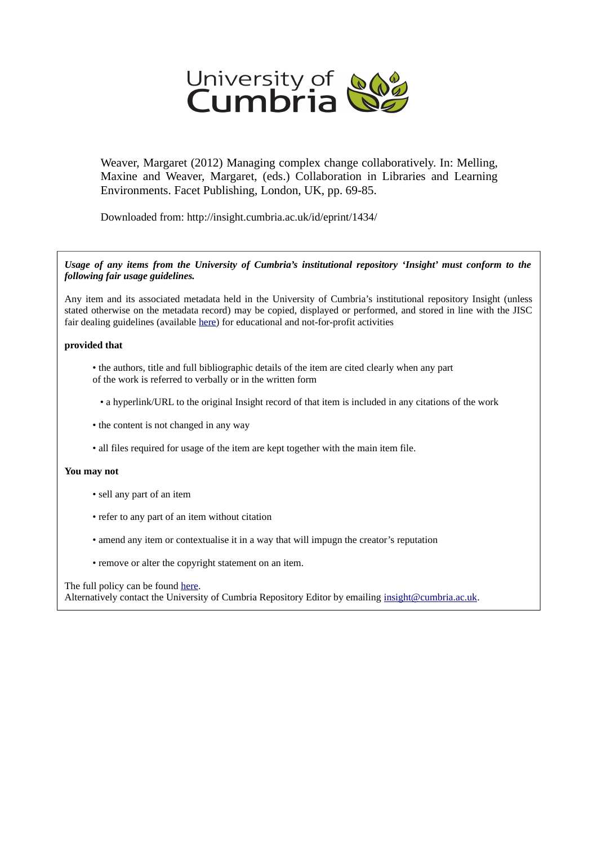

Weaver, Margaret (2012) Managing complex change collaboratively. In: Melling, Maxine and Weaver, Margaret, (eds.) Collaboration in Libraries and Learning Environments. Facet Publishing, London, UK, pp. 69-85.

Downloaded from: http://insight.cumbria.ac.uk/id/eprint/1434/

#### *Usage of any items from the University of Cumbria's institutional repository 'Insight' must conform to the following fair usage guidelines.*

Any item and its associated metadata held in the University of Cumbria's institutional repository Insight (unless stated otherwise on the metadata record) may be copied, displayed or performed, and stored in line with the JISC fair dealing guidelines (available [here\)](http://www.ukoln.ac.uk/services/elib/papers/pa/fair/) for educational and not-for-profit activities

#### **provided that**

- the authors, title and full bibliographic details of the item are cited clearly when any part of the work is referred to verbally or in the written form
	- a hyperlink/URL to the original Insight record of that item is included in any citations of the work
- the content is not changed in any way
- all files required for usage of the item are kept together with the main item file.

#### **You may not**

- sell any part of an item
- refer to any part of an item without citation
- amend any item or contextualise it in a way that will impugn the creator's reputation
- remove or alter the copyright statement on an item.

#### The full policy can be found [here.](http://insight.cumbria.ac.uk/legal.html#section5)

Alternatively contact the University of Cumbria Repository Editor by emailing [insight@cumbria.ac.uk.](mailto:insight@cumbria.ac.uk)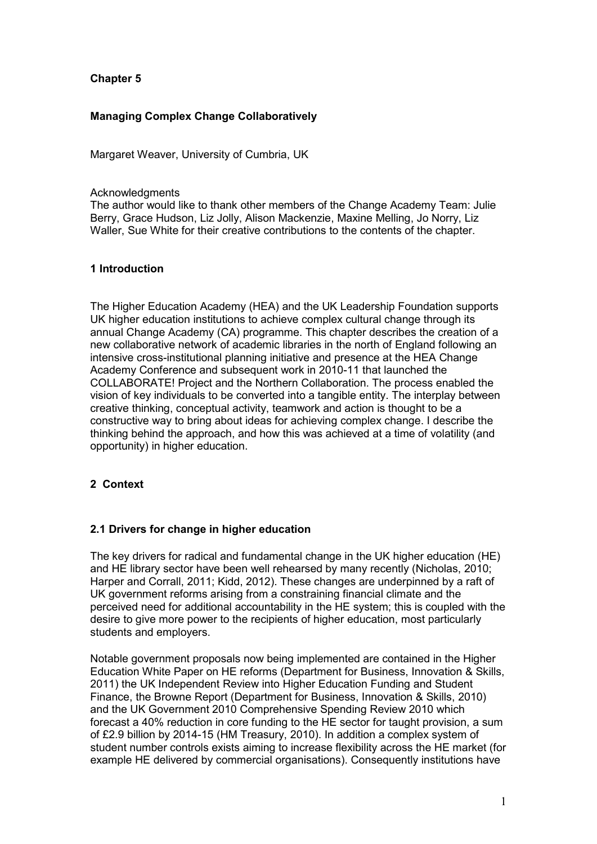## **Chapter 5**

## **Managing Complex Change Collaboratively**

Margaret Weaver, University of Cumbria, UK

Acknowledgments

The author would like to thank other members of the Change Academy Team: Julie Berry, Grace Hudson, Liz Jolly, Alison Mackenzie, Maxine Melling, Jo Norry, Liz Waller, Sue White for their creative contributions to the contents of the chapter.

#### **1 Introduction**

The Higher Education Academy (HEA) and the UK Leadership Foundation supports UK higher education institutions to achieve complex cultural change through its annual Change Academy (CA) programme. This chapter describes the creation of a new collaborative network of academic libraries in the north of England following an intensive cross-institutional planning initiative and presence at the HEA Change Academy Conference and subsequent work in 2010-11 that launched the COLLABORATE! Project and the Northern Collaboration. The process enabled the vision of key individuals to be converted into a tangible entity. The interplay between creative thinking, conceptual activity, teamwork and action is thought to be a constructive way to bring about ideas for achieving complex change. I describe the thinking behind the approach, and how this was achieved at a time of volatility (and opportunity) in higher education.

## **2 Context**

#### **2.1 Drivers for change in higher education**

The key drivers for radical and fundamental change in the UK higher education (HE) and HE library sector have been well rehearsed by many recently (Nicholas, 2010; Harper and Corrall, 2011; Kidd, 2012). These changes are underpinned by a raft of UK government reforms arising from a constraining financial climate and the perceived need for additional accountability in the HE system; this is coupled with the desire to give more power to the recipients of higher education, most particularly students and employers.

Notable government proposals now being implemented are contained in the Higher Education White Paper on HE reforms (Department for Business, Innovation & Skills, 2011) the UK Independent Review into Higher Education Funding and Student Finance, the Browne Report (Department for Business, Innovation & Skills, 2010) and the UK Government 2010 Comprehensive Spending Review 2010 which forecast a 40% reduction in core funding to the HE sector for taught provision, a sum of £2.9 billion by 2014-15 (HM Treasury, 2010). In addition a complex system of student number controls exists aiming to increase flexibility across the HE market (for example HE delivered by commercial organisations). Consequently institutions have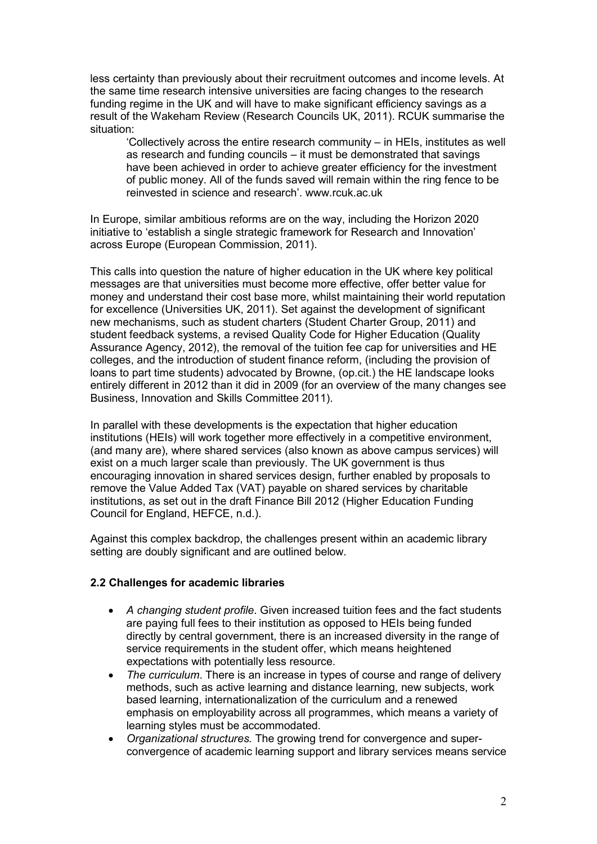less certainty than previously about their recruitment outcomes and income levels. At the same time research intensive universities are facing changes to the research funding regime in the UK and will have to make significant efficiency savings as a result of the Wakeham Review (Research Councils UK, 2011). RCUK summarise the situation:

'Collectively across the entire research community – in HEIs, institutes as well as research and funding councils – it must be demonstrated that savings have been achieved in order to achieve greater efficiency for the investment of public money. All of the funds saved will remain within the ring fence to be reinvested in science and research'. www.rcuk.ac.uk

In Europe, similar ambitious reforms are on the way, including the Horizon 2020 initiative to 'establish a single strategic framework for Research and Innovation' across Europe (European Commission, 2011).

This calls into question the nature of higher education in the UK where key political messages are that universities must become more effective, offer better value for money and understand their cost base more, whilst maintaining their world reputation for excellence (Universities UK, 2011). Set against the development of significant new mechanisms, such as student charters (Student Charter Group, 2011) and student feedback systems, a revised Quality Code for Higher Education (Quality Assurance Agency, 2012), the removal of the tuition fee cap for universities and HE colleges, and the introduction of student finance reform, (including the provision of loans to part time students) advocated by Browne, (op.cit.) the HE landscape looks entirely different in 2012 than it did in 2009 (for an overview of the many changes see Business, Innovation and Skills Committee 2011).

In parallel with these developments is the expectation that higher education institutions (HEIs) will work together more effectively in a competitive environment, (and many are), where shared services (also known as above campus services) will exist on a much larger scale than previously. The UK government is thus encouraging innovation in shared services design, further enabled by proposals to remove the Value Added Tax (VAT) payable on shared services by charitable institutions, as set out in the draft Finance Bill 2012 (Higher Education Funding Council for England, HEFCE, n.d.).

Against this complex backdrop, the challenges present within an academic library setting are doubly significant and are outlined below.

## **2.2 Challenges for academic libraries**

- *A changing student profile*. Given increased tuition fees and the fact students are paying full fees to their institution as opposed to HEIs being funded directly by central government, there is an increased diversity in the range of service requirements in the student offer, which means heightened expectations with potentially less resource.
- *The curriculum*. There is an increase in types of course and range of delivery methods, such as active learning and distance learning, new subjects, work based learning, internationalization of the curriculum and a renewed emphasis on employability across all programmes, which means a variety of learning styles must be accommodated.
- *Organizational structures.* The growing trend for convergence and superconvergence of academic learning support and library services means service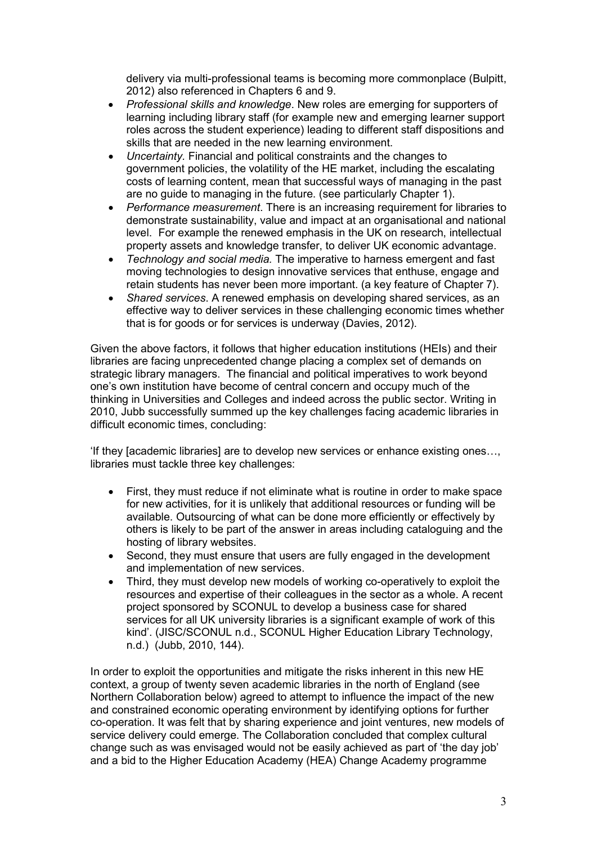delivery via multi-professional teams is becoming more commonplace (Bulpitt, 2012) also referenced in Chapters 6 and 9.

- *Professional skills and knowledge*. New roles are emerging for supporters of learning including library staff (for example new and emerging learner support roles across the student experience) leading to different staff dispositions and skills that are needed in the new learning environment.
- *Uncertainty.* Financial and political constraints and the changes to government policies, the volatility of the HE market, including the escalating costs of learning content, mean that successful ways of managing in the past are no guide to managing in the future. (see particularly Chapter 1).
- *Performance measurement*. There is an increasing requirement for libraries to demonstrate sustainability, value and impact at an organisational and national level. For example the renewed emphasis in the UK on research, intellectual property assets and knowledge transfer, to deliver UK economic advantage.
- *Technology and social media.* The imperative to harness emergent and fast moving technologies to design innovative services that enthuse, engage and retain students has never been more important. (a key feature of Chapter 7).
- *Shared services*. A renewed emphasis on developing shared services, as an effective way to deliver services in these challenging economic times whether that is for goods or for services is underway (Davies, 2012).

Given the above factors, it follows that higher education institutions (HEIs) and their libraries are facing unprecedented change placing a complex set of demands on strategic library managers. The financial and political imperatives to work beyond one's own institution have become of central concern and occupy much of the thinking in Universities and Colleges and indeed across the public sector. Writing in 2010, Jubb successfully summed up the key challenges facing academic libraries in difficult economic times, concluding:

'If they [academic libraries] are to develop new services or enhance existing ones…, libraries must tackle three key challenges:

- First, they must reduce if not eliminate what is routine in order to make space for new activities, for it is unlikely that additional resources or funding will be available. Outsourcing of what can be done more efficiently or effectively by others is likely to be part of the answer in areas including cataloguing and the hosting of library websites.
- Second, they must ensure that users are fully engaged in the development and implementation of new services.
- Third, they must develop new models of working co-operatively to exploit the resources and expertise of their colleagues in the sector as a whole. A recent project sponsored by SCONUL to develop a business case for shared services for all UK university libraries is a significant example of work of this kind'. (JISC/SCONUL n.d., SCONUL Higher Education Library Technology, n.d.) (Jubb, 2010, 144).

In order to exploit the opportunities and mitigate the risks inherent in this new HE context, a group of twenty seven academic libraries in the north of England (see Northern Collaboration below) agreed to attempt to influence the impact of the new and constrained economic operating environment by identifying options for further co-operation. It was felt that by sharing experience and joint ventures, new models of service delivery could emerge. The Collaboration concluded that complex cultural change such as was envisaged would not be easily achieved as part of 'the day job' and a bid to the Higher Education Academy (HEA) Change Academy programme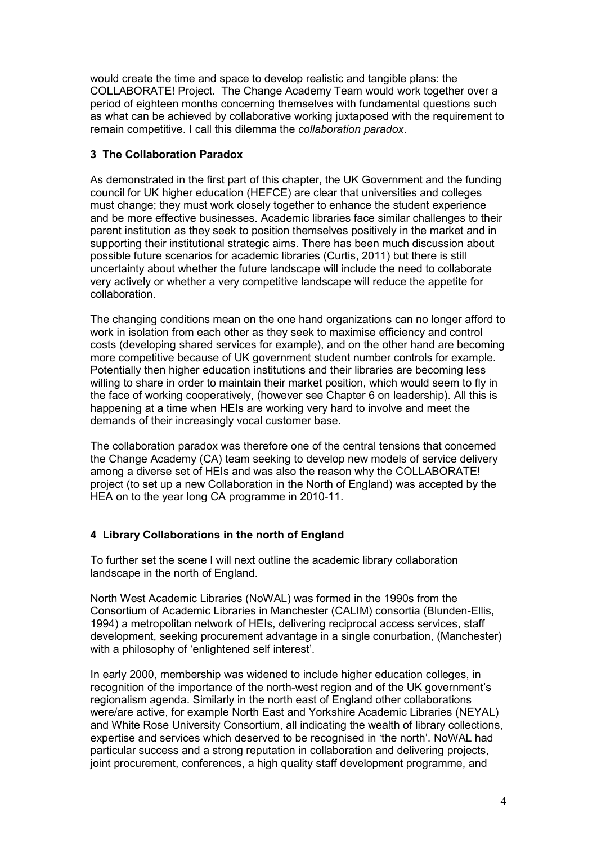would create the time and space to develop realistic and tangible plans: the COLLABORATE! Project. The Change Academy Team would work together over a period of eighteen months concerning themselves with fundamental questions such as what can be achieved by collaborative working juxtaposed with the requirement to remain competitive. I call this dilemma the *collaboration paradox*.

## **3 The Collaboration Paradox**

As demonstrated in the first part of this chapter, the UK Government and the funding council for UK higher education (HEFCE) are clear that universities and colleges must change; they must work closely together to enhance the student experience and be more effective businesses. Academic libraries face similar challenges to their parent institution as they seek to position themselves positively in the market and in supporting their institutional strategic aims. There has been much discussion about possible future scenarios for academic libraries (Curtis, 2011) but there is still uncertainty about whether the future landscape will include the need to collaborate very actively or whether a very competitive landscape will reduce the appetite for collaboration.

The changing conditions mean on the one hand organizations can no longer afford to work in isolation from each other as they seek to maximise efficiency and control costs (developing shared services for example), and on the other hand are becoming more competitive because of UK government student number controls for example. Potentially then higher education institutions and their libraries are becoming less willing to share in order to maintain their market position, which would seem to fly in the face of working cooperatively, (however see Chapter 6 on leadership). All this is happening at a time when HEIs are working very hard to involve and meet the demands of their increasingly vocal customer base.

The collaboration paradox was therefore one of the central tensions that concerned the Change Academy (CA) team seeking to develop new models of service delivery among a diverse set of HEIs and was also the reason why the COLLABORATE! project (to set up a new Collaboration in the North of England) was accepted by the HEA on to the year long CA programme in 2010-11.

# **4 Library Collaborations in the north of England**

To further set the scene I will next outline the academic library collaboration landscape in the north of England.

North West Academic Libraries (NoWAL) was formed in the 1990s from the Consortium of Academic Libraries in Manchester (CALIM) consortia (Blunden-Ellis, 1994) a metropolitan network of HEIs, delivering reciprocal access services, staff development, seeking procurement advantage in a single conurbation, (Manchester) with a philosophy of 'enlightened self interest'.

In early 2000, membership was widened to include higher education colleges, in recognition of the importance of the north-west region and of the UK government's regionalism agenda. Similarly in the north east of England other collaborations were/are active, for example North East and Yorkshire Academic Libraries (NEYAL) and White Rose University Consortium, all indicating the wealth of library collections, expertise and services which deserved to be recognised in 'the north'. NoWAL had particular success and a strong reputation in collaboration and delivering projects, joint procurement, conferences, a high quality staff development programme, and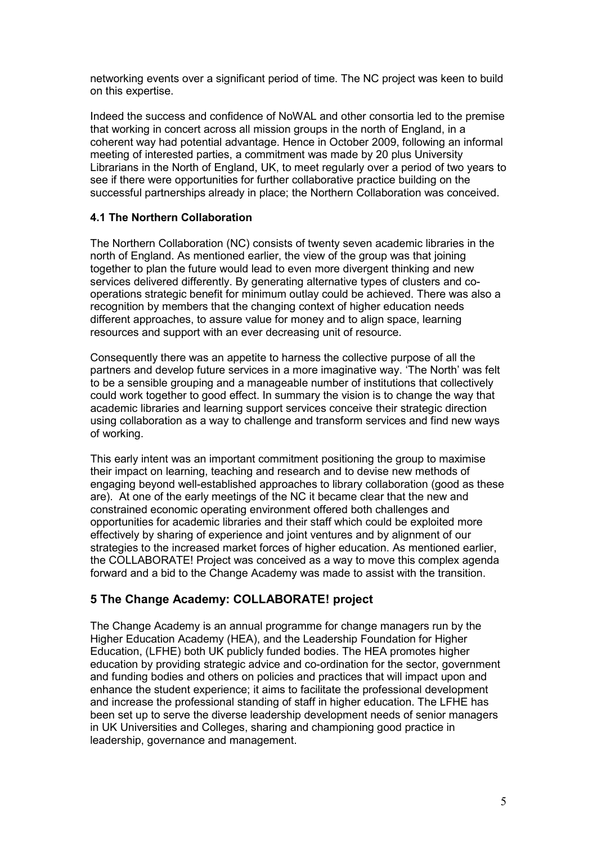networking events over a significant period of time. The NC project was keen to build on this expertise.

Indeed the success and confidence of NoWAL and other consortia led to the premise that working in concert across all mission groups in the north of England, in a coherent way had potential advantage. Hence in October 2009, following an informal meeting of interested parties, a commitment was made by 20 plus University Librarians in the North of England, UK, to meet regularly over a period of two years to see if there were opportunities for further collaborative practice building on the successful partnerships already in place; the Northern Collaboration was conceived.

# **4.1 The Northern Collaboration**

The Northern Collaboration (NC) consists of twenty seven academic libraries in the north of England. As mentioned earlier, the view of the group was that joining together to plan the future would lead to even more divergent thinking and new services delivered differently. By generating alternative types of clusters and cooperations strategic benefit for minimum outlay could be achieved. There was also a recognition by members that the changing context of higher education needs different approaches, to assure value for money and to align space, learning resources and support with an ever decreasing unit of resource.

Consequently there was an appetite to harness the collective purpose of all the partners and develop future services in a more imaginative way. 'The North' was felt to be a sensible grouping and a manageable number of institutions that collectively could work together to good effect. In summary the vision is to change the way that academic libraries and learning support services conceive their strategic direction using collaboration as a way to challenge and transform services and find new ways of working.

This early intent was an important commitment positioning the group to maximise their impact on learning, teaching and research and to devise new methods of engaging beyond well-established approaches to library collaboration (good as these are). At one of the early meetings of the NC it became clear that the new and constrained economic operating environment offered both challenges and opportunities for academic libraries and their staff which could be exploited more effectively by sharing of experience and joint ventures and by alignment of our strategies to the increased market forces of higher education. As mentioned earlier, the COLLABORATE! Project was conceived as a way to move this complex agenda forward and a bid to the Change Academy was made to assist with the transition.

# **5 The Change Academy: COLLABORATE! project**

The Change Academy is an annual programme for change managers run by the Higher Education Academy (HEA), and the Leadership Foundation for Higher Education, (LFHE) both UK publicly funded bodies. The HEA promotes higher education by providing strategic advice and co-ordination for the sector, government and funding bodies and others on policies and practices that will impact upon and enhance the student experience; it aims to facilitate the professional development and increase the professional standing of staff in higher education. The LFHE has been set up to serve the diverse leadership development needs of senior managers in UK Universities and Colleges, sharing and championing good practice in leadership, governance and management.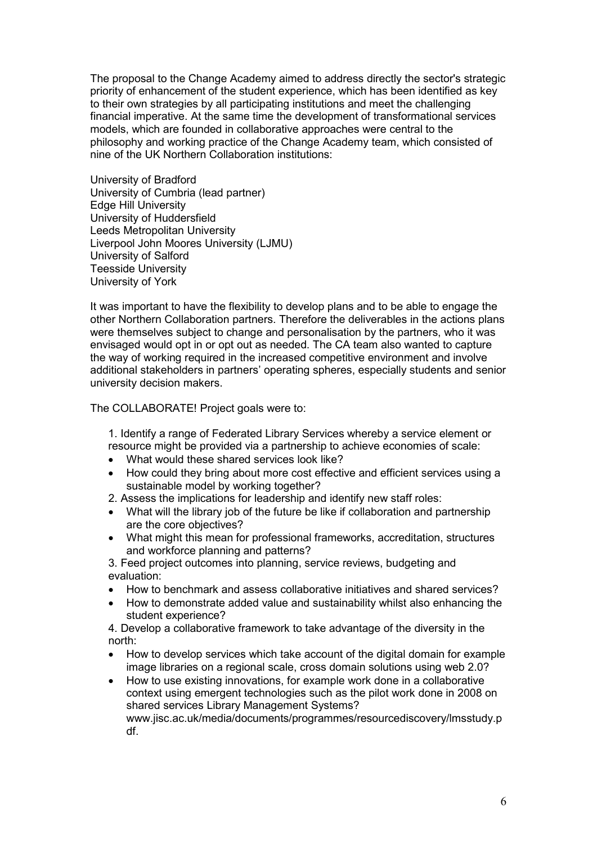The proposal to the Change Academy aimed to address directly the sector's strategic priority of enhancement of the student experience, which has been identified as key to their own strategies by all participating institutions and meet the challenging financial imperative. At the same time the development of transformational services models, which are founded in collaborative approaches were central to the philosophy and working practice of the Change Academy team, which consisted of nine of the UK Northern Collaboration institutions:

University of Bradford University of Cumbria (lead partner) Edge Hill University University of Huddersfield Leeds Metropolitan University Liverpool John Moores University (LJMU) University of Salford Teesside University University of York

It was important to have the flexibility to develop plans and to be able to engage the other Northern Collaboration partners. Therefore the deliverables in the actions plans were themselves subject to change and personalisation by the partners, who it was envisaged would opt in or opt out as needed. The CA team also wanted to capture the way of working required in the increased competitive environment and involve additional stakeholders in partners' operating spheres, especially students and senior university decision makers.

The COLLABORATE! Project goals were to:

1. Identify a range of Federated Library Services whereby a service element or resource might be provided via a partnership to achieve economies of scale:

- What would these shared services look like?
- How could they bring about more cost effective and efficient services using a sustainable model by working together?
- 2. Assess the implications for leadership and identify new staff roles:
- What will the library job of the future be like if collaboration and partnership are the core objectives?
- What might this mean for professional frameworks, accreditation, structures and workforce planning and patterns?

3. Feed project outcomes into planning, service reviews, budgeting and evaluation:

- How to benchmark and assess collaborative initiatives and shared services?
- How to demonstrate added value and sustainability whilst also enhancing the student experience?
- 4. Develop a collaborative framework to take advantage of the diversity in the north:
- How to develop services which take account of the digital domain for example image libraries on a regional scale, cross domain solutions using web 2.0?
- How to use existing innovations, for example work done in a collaborative context using emergent technologies such as the pilot work done in 2008 on shared services Library Management Systems? www.jisc.ac.uk/media/documents/programmes/resourcediscovery/lmsstudy.p df.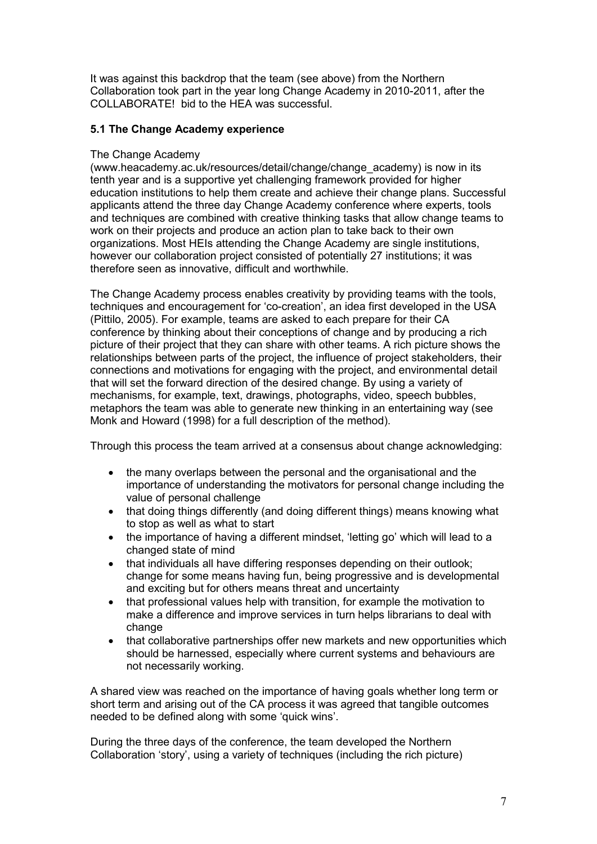It was against this backdrop that the team (see above) from the Northern Collaboration took part in the year long Change Academy in 2010-2011, after the COLLABORATE! bid to the HEA was successful.

## **5.1 The Change Academy experience**

## The Change Academy

(www.heacademy.ac.uk/resources/detail/change/change\_academy) is now in its tenth year and is a supportive yet challenging framework provided for higher education institutions to help them create and achieve their change plans. Successful applicants attend the three day Change Academy conference where experts, tools and techniques are combined with creative thinking tasks that allow change teams to work on their projects and produce an action plan to take back to their own organizations. Most HEIs attending the Change Academy are single institutions, however our collaboration project consisted of potentially 27 institutions; it was therefore seen as innovative, difficult and worthwhile.

The Change Academy process enables creativity by providing teams with the tools, techniques and encouragement for 'co-creation', an idea first developed in the USA (Pittilo, 2005). For example, teams are asked to each prepare for their CA conference by thinking about their conceptions of change and by producing a rich picture of their project that they can share with other teams. A rich picture shows the relationships between parts of the project, the influence of project stakeholders, their connections and motivations for engaging with the project, and environmental detail that will set the forward direction of the desired change. By using a variety of mechanisms, for example, text, drawings, photographs, video, speech bubbles, metaphors the team was able to generate new thinking in an entertaining way (see Monk and Howard (1998) for a full description of the method).

Through this process the team arrived at a consensus about change acknowledging:

- the many overlaps between the personal and the organisational and the importance of understanding the motivators for personal change including the value of personal challenge
- that doing things differently (and doing different things) means knowing what to stop as well as what to start
- the importance of having a different mindset, 'letting go' which will lead to a changed state of mind
- that individuals all have differing responses depending on their outlook; change for some means having fun, being progressive and is developmental and exciting but for others means threat and uncertainty
- that professional values help with transition, for example the motivation to make a difference and improve services in turn helps librarians to deal with change
- that collaborative partnerships offer new markets and new opportunities which should be harnessed, especially where current systems and behaviours are not necessarily working.

A shared view was reached on the importance of having goals whether long term or short term and arising out of the CA process it was agreed that tangible outcomes needed to be defined along with some 'quick wins'.

During the three days of the conference, the team developed the Northern Collaboration 'story', using a variety of techniques (including the rich picture)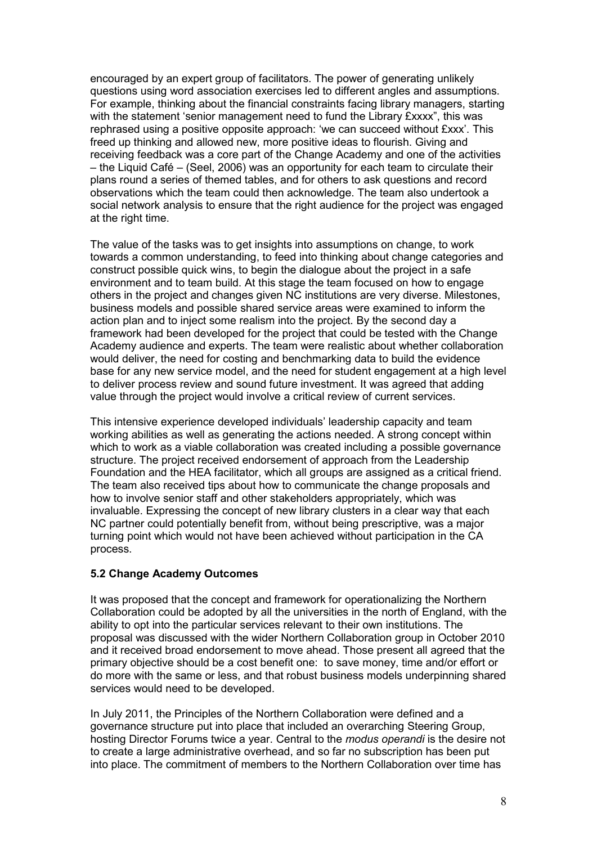encouraged by an expert group of facilitators. The power of generating unlikely questions using word association exercises led to different angles and assumptions. For example, thinking about the financial constraints facing library managers, starting with the statement 'senior management need to fund the Library £xxxx", this was rephrased using a positive opposite approach: 'we can succeed without £xxx'. This freed up thinking and allowed new, more positive ideas to flourish. Giving and receiving feedback was a core part of the Change Academy and one of the activities – the Liquid Café – (Seel, 2006) was an opportunity for each team to circulate their plans round a series of themed tables, and for others to ask questions and record observations which the team could then acknowledge. The team also undertook a social network analysis to ensure that the right audience for the project was engaged at the right time.

The value of the tasks was to get insights into assumptions on change, to work towards a common understanding, to feed into thinking about change categories and construct possible quick wins, to begin the dialogue about the project in a safe environment and to team build. At this stage the team focused on how to engage others in the project and changes given NC institutions are very diverse. Milestones, business models and possible shared service areas were examined to inform the action plan and to inject some realism into the project. By the second day a framework had been developed for the project that could be tested with the Change Academy audience and experts. The team were realistic about whether collaboration would deliver, the need for costing and benchmarking data to build the evidence base for any new service model, and the need for student engagement at a high level to deliver process review and sound future investment. It was agreed that adding value through the project would involve a critical review of current services.

This intensive experience developed individuals' leadership capacity and team working abilities as well as generating the actions needed. A strong concept within which to work as a viable collaboration was created including a possible governance structure. The project received endorsement of approach from the Leadership Foundation and the HEA facilitator, which all groups are assigned as a critical friend. The team also received tips about how to communicate the change proposals and how to involve senior staff and other stakeholders appropriately, which was invaluable. Expressing the concept of new library clusters in a clear way that each NC partner could potentially benefit from, without being prescriptive, was a major turning point which would not have been achieved without participation in the CA process.

## **5.2 Change Academy Outcomes**

It was proposed that the concept and framework for operationalizing the Northern Collaboration could be adopted by all the universities in the north of England, with the ability to opt into the particular services relevant to their own institutions. The proposal was discussed with the wider Northern Collaboration group in October 2010 and it received broad endorsement to move ahead. Those present all agreed that the primary objective should be a cost benefit one: to save money, time and/or effort or do more with the same or less, and that robust business models underpinning shared services would need to be developed.

In July 2011, the Principles of the Northern Collaboration were defined and a governance structure put into place that included an overarching Steering Group, hosting Director Forums twice a year. Central to the *modus operandi* is the desire not to create a large administrative overhead, and so far no subscription has been put into place. The commitment of members to the Northern Collaboration over time has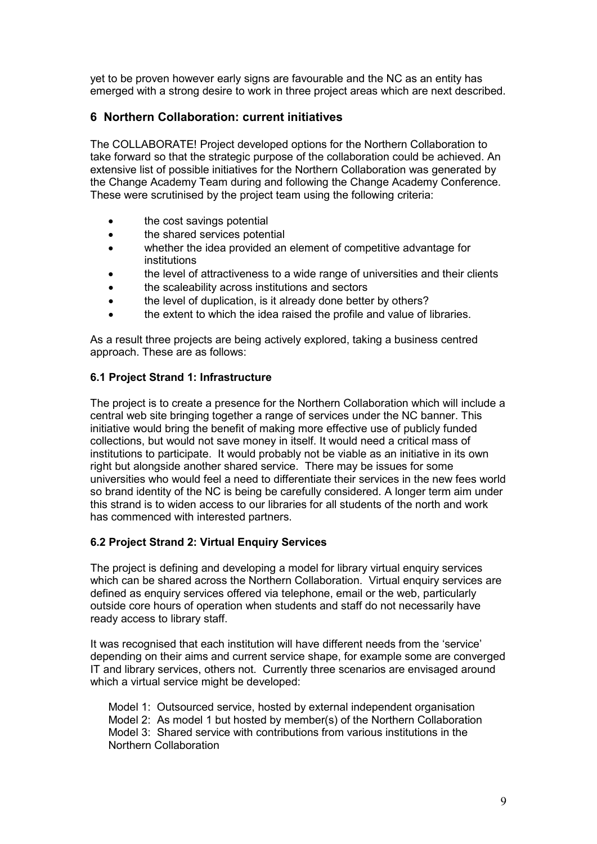yet to be proven however early signs are favourable and the NC as an entity has emerged with a strong desire to work in three project areas which are next described.

# **6 Northern Collaboration: current initiatives**

The COLLABORATE! Project developed options for the Northern Collaboration to take forward so that the strategic purpose of the collaboration could be achieved. An extensive list of possible initiatives for the Northern Collaboration was generated by the Change Academy Team during and following the Change Academy Conference. These were scrutinised by the project team using the following criteria:

- the cost savings potential
- the shared services potential
- whether the idea provided an element of competitive advantage for institutions
- the level of attractiveness to a wide range of universities and their clients
- the scaleability across institutions and sectors
- the level of duplication, is it already done better by others?
- the extent to which the idea raised the profile and value of libraries.

As a result three projects are being actively explored, taking a business centred approach. These are as follows:

## **6.1 Project Strand 1: Infrastructure**

The project is to create a presence for the Northern Collaboration which will include a central web site bringing together a range of services under the NC banner. This initiative would bring the benefit of making more effective use of publicly funded collections, but would not save money in itself. It would need a critical mass of institutions to participate. It would probably not be viable as an initiative in its own right but alongside another shared service. There may be issues for some universities who would feel a need to differentiate their services in the new fees world so brand identity of the NC is being be carefully considered. A longer term aim under this strand is to widen access to our libraries for all students of the north and work has commenced with interested partners.

## **6.2 Project Strand 2: Virtual Enquiry Services**

The project is defining and developing a model for library virtual enquiry services which can be shared across the Northern Collaboration. Virtual enquiry services are defined as enquiry services offered via telephone, email or the web, particularly outside core hours of operation when students and staff do not necessarily have ready access to library staff.

It was recognised that each institution will have different needs from the 'service' depending on their aims and current service shape, for example some are converged IT and library services, others not. Currently three scenarios are envisaged around which a virtual service might be developed:

Model 1: Outsourced service, hosted by external independent organisation Model 2: As model 1 but hosted by member(s) of the Northern Collaboration Model 3: Shared service with contributions from various institutions in the Northern Collaboration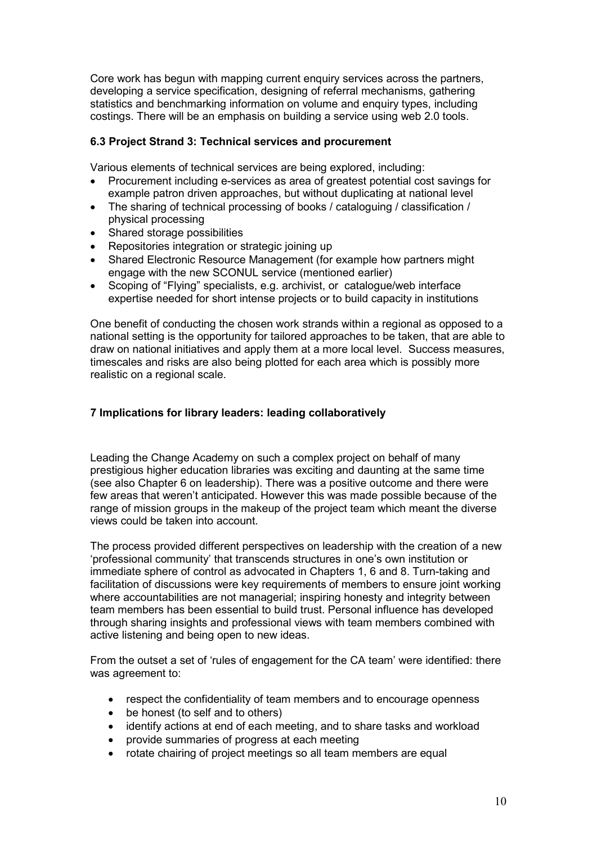Core work has begun with mapping current enquiry services across the partners, developing a service specification, designing of referral mechanisms, gathering statistics and benchmarking information on volume and enquiry types, including costings. There will be an emphasis on building a service using web 2.0 tools.

## **6.3 Project Strand 3: Technical services and procurement**

Various elements of technical services are being explored, including:

- Procurement including e-services as area of greatest potential cost savings for example patron driven approaches, but without duplicating at national level
- The sharing of technical processing of books / cataloguing / classification / physical processing
- Shared storage possibilities
- Repositories integration or strategic joining up
- Shared Electronic Resource Management (for example how partners might engage with the new SCONUL service (mentioned earlier)
- Scoping of "Flying" specialists, e.g. archivist, or catalogue/web interface expertise needed for short intense projects or to build capacity in institutions

One benefit of conducting the chosen work strands within a regional as opposed to a national setting is the opportunity for tailored approaches to be taken, that are able to draw on national initiatives and apply them at a more local level. Success measures, timescales and risks are also being plotted for each area which is possibly more realistic on a regional scale.

## **7 Implications for library leaders: leading collaboratively**

Leading the Change Academy on such a complex project on behalf of many prestigious higher education libraries was exciting and daunting at the same time (see also Chapter 6 on leadership). There was a positive outcome and there were few areas that weren't anticipated. However this was made possible because of the range of mission groups in the makeup of the project team which meant the diverse views could be taken into account.

The process provided different perspectives on leadership with the creation of a new 'professional community' that transcends structures in one's own institution or immediate sphere of control as advocated in Chapters 1, 6 and 8. Turn-taking and facilitation of discussions were key requirements of members to ensure joint working where accountabilities are not managerial; inspiring honesty and integrity between team members has been essential to build trust. Personal influence has developed through sharing insights and professional views with team members combined with active listening and being open to new ideas.

From the outset a set of 'rules of engagement for the CA team' were identified: there was agreement to:

- respect the confidentiality of team members and to encourage openness
- be honest (to self and to others)
- identify actions at end of each meeting, and to share tasks and workload
- provide summaries of progress at each meeting
- rotate chairing of project meetings so all team members are equal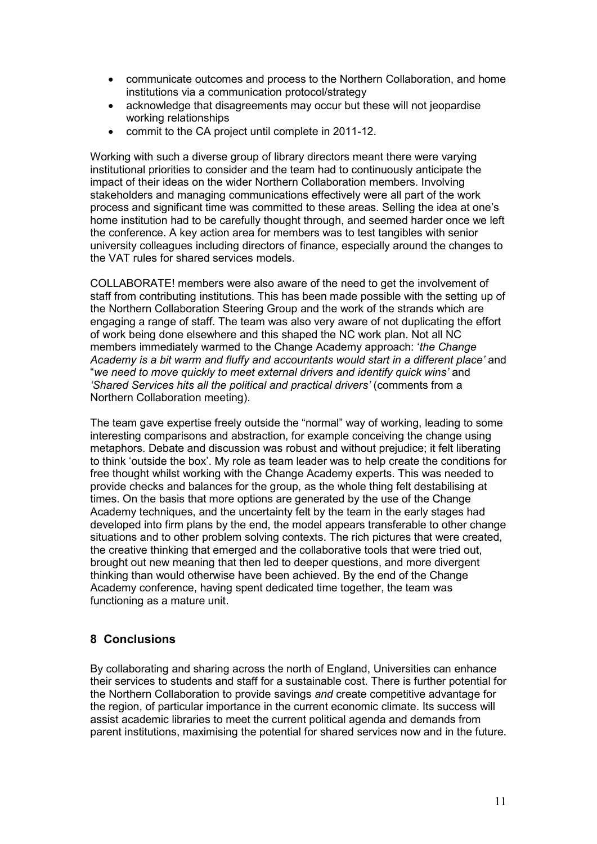- communicate outcomes and process to the Northern Collaboration, and home institutions via a communication protocol/strategy
- acknowledge that disagreements may occur but these will not jeopardise working relationships
- commit to the CA project until complete in 2011-12.

Working with such a diverse group of library directors meant there were varying institutional priorities to consider and the team had to continuously anticipate the impact of their ideas on the wider Northern Collaboration members. Involving stakeholders and managing communications effectively were all part of the work process and significant time was committed to these areas. Selling the idea at one's home institution had to be carefully thought through, and seemed harder once we left the conference. A key action area for members was to test tangibles with senior university colleagues including directors of finance, especially around the changes to the VAT rules for shared services models.

COLLABORATE! members were also aware of the need to get the involvement of staff from contributing institutions. This has been made possible with the setting up of the Northern Collaboration Steering Group and the work of the strands which are engaging a range of staff. The team was also very aware of not duplicating the effort of work being done elsewhere and this shaped the NC work plan. Not all NC members immediately warmed to the Change Academy approach: '*the Change Academy is a bit warm and fluffy and accountants would start in a different place'* and "*we need to move quickly to meet external drivers and identify quick wins'* and *'Shared Services hits all the political and practical drivers'* (comments from a Northern Collaboration meeting).

The team gave expertise freely outside the "normal" way of working, leading to some interesting comparisons and abstraction, for example conceiving the change using metaphors. Debate and discussion was robust and without prejudice; it felt liberating to think 'outside the box'. My role as team leader was to help create the conditions for free thought whilst working with the Change Academy experts. This was needed to provide checks and balances for the group, as the whole thing felt destabilising at times. On the basis that more options are generated by the use of the Change Academy techniques, and the uncertainty felt by the team in the early stages had developed into firm plans by the end, the model appears transferable to other change situations and to other problem solving contexts. The rich pictures that were created, the creative thinking that emerged and the collaborative tools that were tried out, brought out new meaning that then led to deeper questions, and more divergent thinking than would otherwise have been achieved. By the end of the Change Academy conference, having spent dedicated time together, the team was functioning as a mature unit.

# **8 Conclusions**

By collaborating and sharing across the north of England, Universities can enhance their services to students and staff for a sustainable cost. There is further potential for the Northern Collaboration to provide savings *and* create competitive advantage for the region, of particular importance in the current economic climate. Its success will assist academic libraries to meet the current political agenda and demands from parent institutions, maximising the potential for shared services now and in the future.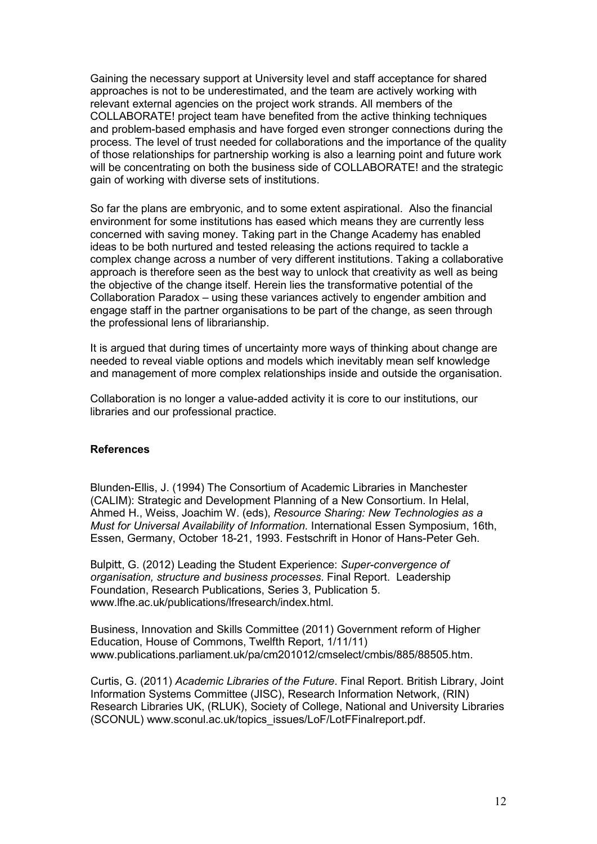Gaining the necessary support at University level and staff acceptance for shared approaches is not to be underestimated, and the team are actively working with relevant external agencies on the project work strands. All members of the COLLABORATE! project team have benefited from the active thinking techniques and problem-based emphasis and have forged even stronger connections during the process. The level of trust needed for collaborations and the importance of the quality of those relationships for partnership working is also a learning point and future work will be concentrating on both the business side of COLLABORATE! and the strategic gain of working with diverse sets of institutions.

So far the plans are embryonic, and to some extent aspirational. Also the financial environment for some institutions has eased which means they are currently less concerned with saving money. Taking part in the Change Academy has enabled ideas to be both nurtured and tested releasing the actions required to tackle a complex change across a number of very different institutions. Taking a collaborative approach is therefore seen as the best way to unlock that creativity as well as being the objective of the change itself. Herein lies the transformative potential of the Collaboration Paradox – using these variances actively to engender ambition and engage staff in the partner organisations to be part of the change, as seen through the professional lens of librarianship.

It is argued that during times of uncertainty more ways of thinking about change are needed to reveal viable options and models which inevitably mean self knowledge and management of more complex relationships inside and outside the organisation.

Collaboration is no longer a value-added activity it is core to our institutions, our libraries and our professional practice.

#### **References**

Blunden-Ellis, J. (1994) The Consortium of Academic Libraries in Manchester (CALIM): Strategic and Development Planning of a New Consortium. In Helal, Ahmed H., Weiss, Joachim W. (eds), *Resource Sharing: New Technologies as a Must for Universal Availability of Information.* International Essen Symposium, 16th, Essen, Germany, October 18-21, 1993. Festschrift in Honor of Hans-Peter Geh.

Bulpitt, G. (2012) Leading the Student Experience: *Super-convergence of organisation, structure and business processes*. Final Report. Leadership Foundation, Research Publications, Series 3, Publication 5. www.lfhe.ac.uk/publications/lfresearch/index.html.

Business, Innovation and Skills Committee (2011) Government reform of Higher Education, House of Commons, Twelfth Report, 1/11/11) [www.publications.parliament.uk/pa/cm201012/cmselect/cmbis/885/88505.htm.](http://www.publications.parliament.uk/pa/cm201012/cmselect/cmbis/885/88505.htm)

Curtis, G. (2011) *Academic Libraries of the Future*. Final Report. British Library, Joint Information Systems Committee (JISC), Research Information Network, (RIN) Research Libraries UK, (RLUK), Society of College, National and University Libraries (SCONUL) [www.sconul.ac.uk/topics\\_issues/LoF/LotFFinalreport.pdf.](http://www.sconul.ac.uk/topics_issues/LoF/LotFFinalreport.pdf)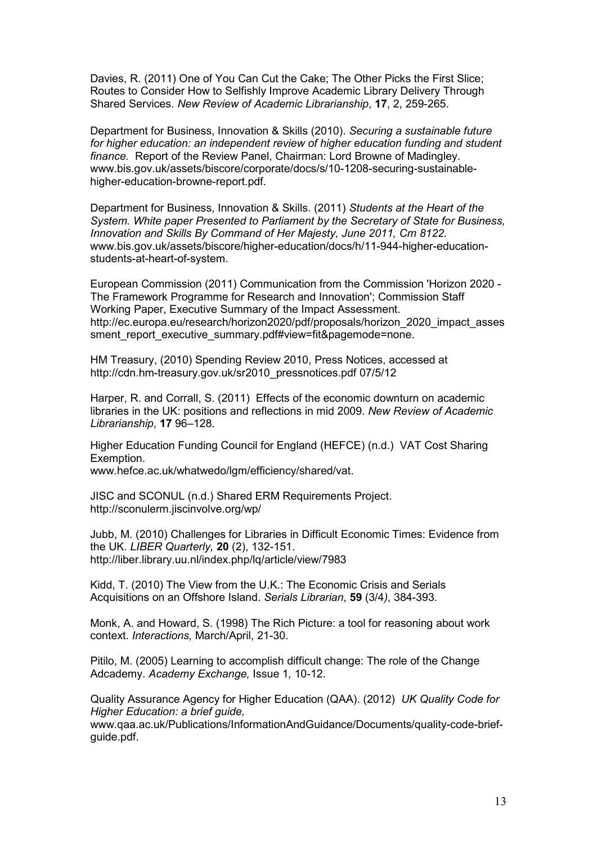Davies, R. (2011) One of You Can Cut the Cake; The Other Picks the First Slice; Routes to Consider How to Selfishly Improve Academic Library Delivery Through Shared Services. *New Review of Academic Librarianship*, **17**, 2, 259-265.

Department for Business, Innovation & Skills (2010). *Securing a sustainable future*  for higher education: an independent review of higher education funding and student *finance.* Report of the Review Panel, Chairman: Lord Browne of Madingley. www.bis.gov.uk/assets/biscore/corporate/docs/s/10-1208-securing-sustainablehigher-education-browne-report.pdf.

Department for Business, Innovation & Skills. (2011) *Students at the Heart of the System. White paper Presented to Parliament by the Secretary of State for Business, Innovation and Skills By Command of Her Majesty, June 2011, Cm 8122.* [www.bis.gov.uk/assets/biscore/higher-education/docs/h/11-944-higher-education](http://www.bis.gov.uk/assets/biscore/higher-education/docs/h/11-944-higher-education-students-at-heart-of-system)[students-at-heart-of-system.](http://www.bis.gov.uk/assets/biscore/higher-education/docs/h/11-944-higher-education-students-at-heart-of-system)

European Commission (2011) Communication from the Commission 'Horizon 2020 - The Framework Programme for Research and Innovation'; Commission Staff Working Paper, Executive Summary of the Impact Assessment. [http://ec.europa.eu/research/horizon2020/pdf/proposals/horizon\\_2020\\_impact\\_asses](http://ec.europa.eu/research/horizon2020/pdf/proposals/horizon_2020_impact_assessment_report_executive_summary.pdf#view=fit&pagemode=none) sment report executive summary.pdf#view=fit&pagemode=none.

HM Treasury, (2010) Spending Review 2010, Press Notices, accessed at [http://cdn.hm-treasury.gov.uk/sr2010\\_pressnotices.pdf](http://cdn.hm-treasury.gov.uk/sr2010_pressnotices.pdf) 07/5/12

Harper, R. and Corrall, S. (2011) Effects of the economic downturn on academic libraries in the UK: positions and reflections in mid 2009. *New Review of Academic Librarianship*, **17** 96–128.

Higher Education Funding Council for England (HEFCE) (n.d.) VAT Cost Sharing Exemption.

www.hefce.ac.uk/whatwedo/lgm/efficiency/shared/vat.

JISC and SCONUL (n.d.) Shared ERM Requirements Project. <http://sconulerm.jiscinvolve.org/wp/>

Jubb, M. (2010) Challenges for Libraries in Difficult Economic Times: Evidence from the UK. *LIBER Quarterly,* **20** (2), 132-151. http://liber.library.uu.nl/index.php/lq/article/view/7983

Kidd, T. (2010) The View from the U.K.: The Economic Crisis and Serials Acquisitions on an Offshore Island. *Serials Librarian*, **59** (3/4*)*, 384-393.

Monk, A. and Howard, S. (1998) The Rich Picture: a tool for reasoning about work context. *Interactions,* March/April, 21-30.

Pitilo, M. (2005) Learning to accomplish difficult change: The role of the Change Adcademy. *Academy Exchange,* Issue 1*,* 10-12.

Quality Assurance Agency for Higher Education (QAA). (2012) *UK Quality Code for Higher Education: a brief guide,*

www.qaa.ac.uk/Publications/InformationAndGuidance/Documents/quality-code-briefguide.pdf.